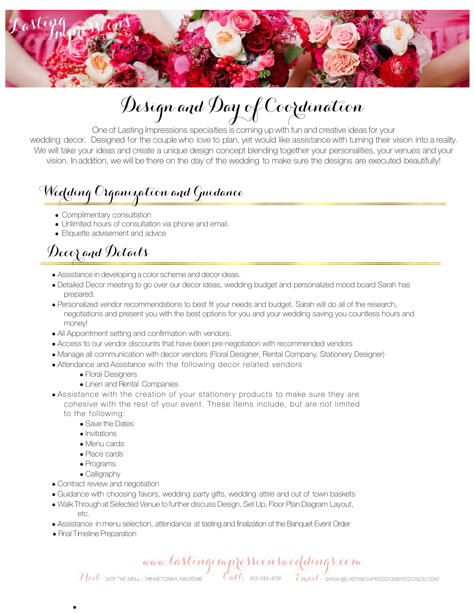

# Design and Day of Coordination

One of Lasting Impressions specialties is coming up with fun and creative ideas for your wedding decor. Designed for the couple who love to plan, yet would like assistance with turning their vision into a reality. We will take your ideas and create a unique design concept blending together your personalities, your venues and your vision. In addition, we will be there on the day of the wedding to make sure the designs are executed beautifully!

### Wedding Organization and Guidance

- Complimentary consultation
- Unlimited hours of consultation via phone and email.
- Etiquette advisement and advice

## Decor and Details

- Assistance in developing a color scheme and decor ideas.
- Detailed Decor meeting to go over our decor ideas, wedding budget and personalized mood board Sarah has prepared.
- Personalized vendor recommendations to best fit your needs and budget. Sarah will do all of the research, negotiations and present you with the best options for you and your wedding saving you countless hours and money!
- All Appointment setting and confirmation with vendors.
- Access to our vendor discounts that have been pre-negotiation with recommended vendors
- Manage all communication with decor vendors (Floral Designer, Rental Company, Stationery Designer)
- Attendance and Assistance with the following decor related vendors
	- Floral Designers
	- Linen and Rental Companies
- Assistance with the creation of your stationery products to make sure they are cohesive with the rest of your event. These items include, but are not limited to the following:
	- Save the Dates
	- Invitations
	- Menu cards
	- Place cards
	- Programs
	- Calligraphy
- Contract review and negotiation
- Guidance with choosing favors, wedding party gifts, wedding attire and out of town baskets
- Walk Through at Selected Venue to further discuss Design, Set Up, Floor Plan Diagram Layout, etc.
- Assistance in menu selection, attendance at tasting and finalization of the Banquet Event Order
- Final Timeline Preparation

•

www.lastingimpressionsweddings.com